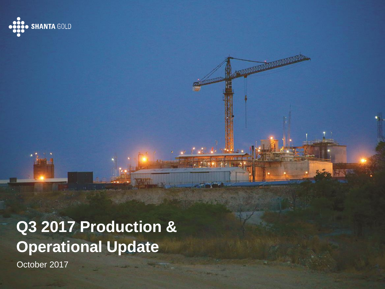

# **Q3 2017 Production & Operational Update**

**COMMANDER** 

October 2017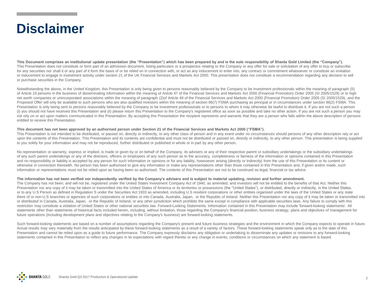### **Disclaimer**

**This Document comprises an institutional update presentation (the "Presentation") which has been prepared by and is the sole responsibility of Shanta Gold Limited (the "Company").** This Presentation does not constitute or form part of an admission document, listing particulars or a prospectus relating to the Company or any offer for sale or solicitation of any offer to buy or subscribe for any securities nor shall it or any part of it form the basis of or be relied on in connection with, or act as any inducement to enter into, any contract or commitment whatsoever or constitute an invitation or inducement to engage in investment activity under section 21 of the UK Financial Services and Markets Act 2000. This presentation does not constitute a recommendation regarding any decision to sell or purchase securities in the Company.

Notwithstanding the above, in the United Kingdom, this Presentation is only being given to persons reasonably believed by the Company to be investment professionals within the meaning of paragraph (5) of Article 19 persons in the business of disseminating information within the meaning of Article 47 of the Financial Services and Markets Act 2000 (Financial Promotion) Order 2005 (SI 2005/1529) or to high net worth companies or unincorporated associations within the meaning of paragraph (2)of Article 49 of the Financial Services and Markets Act 2000 (Financial Promotion) Order 2005 (SI 2005/1529), and the Proposed Offer will only be available to such persons who are also qualified investors within the meaning of section 86(7) FSMA purchasing as principal or in circumstances under section 86(2) FSMA. This Presentation is only being sent to persons reasonably believed by the Company to be investment professionals or to persons to whom it may otherwise be lawful to distribute it. If you are not such a person (i) you should not have received this Presentation and (ii) please return this Presentation to the Company's registered office as soon as possible and take no other action. If you are not such a person you may not rely on or act upon matters communicated in this Presentation. By accepting this Presentation the recipient represents and warrants that they are a person who falls within the above description of persons entitled to receive this Presentation.

#### **This document has not been approved by an authorised person under Section 21 of the Financial Services and Markets Act 2000 ("FSMA").**

This Presentation is not intended to be distributed, or passed on, directly or indirectly, to any other class of person and in any event under no circumstances should persons of any other description rely or act upon the contents of this Presentation. This Presentation and its contents are confidential and must not be distributed or passed on, directly or indirectly, to any other person. This presentation is being supplied to you solely for your information and may not be reproduced, further distributed or published in whole or in part by any other person.

No representation or warranty, express or implied, is made or given by or on behalf of the Company, its advisers or any of their respective parent or subsidiary undertakings or the subsidiary undertakings or the subsidiary of any such parent undertakings or any of the directors, officers or employees of any such person as to the accuracy, completeness or fairness of the information or opinions contained in this Presentation and no responsibility or liability is accepted by any person for such information or opinions or for any liability, howsoever arising (directly or indirectly) from the use of this Presentation or its content or otherwise in connection therewith. No person has been authorised to give any information or make any representations other than those contained in this Presentation and, if given and/or made, such information or representations must not be relied upon as having been so authorised. The contents of this Presentation are not to be construed as legal, financial or tax advice.

#### **The information has not been verified nor independently verified by the Company's advisers and is subject to material updating, revision and further amendment.**

The Company has not been, and will not be, registered under the United States Investment Company Act of 1940, as amended, and investors will not be entitled to the benefits of that Act. Neither this Presentation nor any copy of it may be taken or transmitted into the United States of America or its territories or possessions (the "United States"), or distributed, directly or indirectly, in the United States, or to any U.S Person as defined in Regulation S under the Securities Act 1933 as amended, including U.S resident corporations or other entities organised under the laws of the United States or any state there of or non-U.S branches or agencies of such corporations or entities or into Canada, Australia, Japan, or the Republic of Ireland. Neither this Presentation nor any copy of it may be taken or transmitted into or distributed in Canada, Australia, Japan, or the Republic of Ireland, or any other jurisdiction which prohibits the same except in compliance with applicable securities laws. Any failure to comply with this restriction may constitute a violation of United States or other national securities law. Forward-Looking Statements. Information contained in this Presentation may include 'forward-looking statements'. All statements other than statements of historical facts included herein, including, without limitation, those regarding the Company's financial position, business strategy, plans and objectives of management for future operations (including development plans and objectives relating to the Company's business) are forward-looking statements.

Such forward-looking statements are based on a number of assumptions regarding the Company's present and future business strategies and the environment in which the Company expects to operate in future. Actual results may vary materially from the results anticipated by these forward-looking statements as a result of a variety of factors. These forward-looking statements speak only as to the date of this Presentation and cannot be relied upon as a guide to future performance. The Company expressly disclaims any obligation or undertaking to disseminate any updates or revisions to any forward-looking statements contained in this Presentation to reflect any changes in its expectations with regard thereto or any change in events, conditions or circumstances on which any statement is based.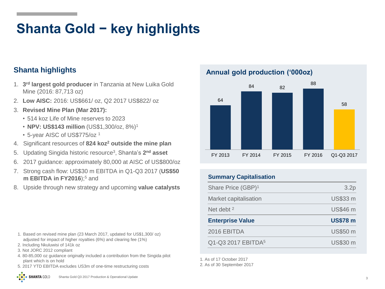## **Shanta Gold − key highlights**

### **Shanta highlights**

- 1. **3 rd largest gold producer** in Tanzania at New Luika Gold Mine (2016: 87,713 oz)
- 2. **Low AISC:** 2016: US\$661/ oz, Q2 2017 US\$822/ oz
- 3. **Revised Mine Plan (Mar 2017):** 
	- 514 koz Life of Mine reserves to 2023
	- **NPV: US\$143 million** (US\$1,300/oz, 8%)<sup>1</sup>
	- 5-year AISC of US\$775/oz <sup>1</sup>
- 4. Significant resources of **824 koz<sup>2</sup> outside the mine plan**
- 5. Updating Singida historic resource<sup>3</sup> , Shanta's **2 nd asset**
- 6. 2017 guidance: approximately 80,000 at AISC of US\$800/oz
- 7. Strong cash flow: US\$30 m EBITDA in Q1-Q3 2017 (**US\$50 m EBITDA in FY2016**);<sup>5</sup> and
- 8. Upside through new strategy and upcoming **value catalysts**

- 1. Based on revised mine plan (23 March 2017, updated for US\$1,300/ oz) adjusted for impact of higher royalties (6%) and clearing fee (1%)
- 2. Including Nkuluwisi of 141k oz
- 3. Not JORC 2012 compliant
- 4. 80-85,000 oz guidance originally included a contribution from the Singida pilot plant which is on hold
- 5. 2017 YTD EBITDA excludes US3m of one-time restructuring costs

**Annual gold production ('000oz)**



#### **Summary Capitalisation**

| Share Price (GBP) <sup>1</sup> | 3.2p            |
|--------------------------------|-----------------|
| Market capitalisation          | <b>US\$33 m</b> |
| Net debt $2$                   | <b>US\$46 m</b> |
|                                |                 |
| <b>Enterprise Value</b>        | <b>US\$78 m</b> |
| 2016 EBITDA                    | <b>US\$50 m</b> |

1. As of 17 October 2017

2. As of 30 September 2017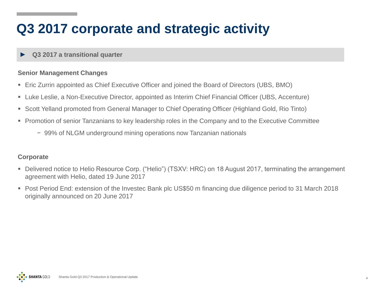### **Q3 2017 corporate and strategic activity**

#### ► **Q3 2017 a transitional quarter**

#### **Senior Management Changes**

- Eric Zurrin appointed as Chief Executive Officer and joined the Board of Directors (UBS, BMO)
- Luke Leslie, a Non-Executive Director, appointed as Interim Chief Financial Officer (UBS, Accenture)
- Scott Yelland promoted from General Manager to Chief Operating Officer (Highland Gold, Rio Tinto)
- Promotion of senior Tanzanians to key leadership roles in the Company and to the Executive Committee
	- − 99% of NLGM underground mining operations now Tanzanian nationals

#### **Corporate**

- Delivered notice to Helio Resource Corp. ("Helio") (TSXV: HRC) on 18 August 2017, terminating the arrangement agreement with Helio, dated 19 June 2017
- Post Period End: extension of the Investec Bank plc US\$50 m financing due diligence period to 31 March 2018 originally announced on 20 June 2017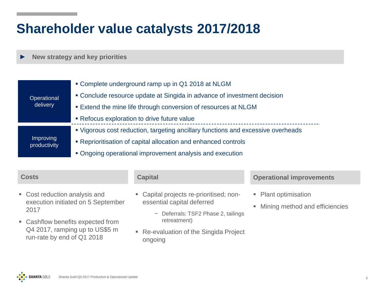### **Shareholder value catalysts 2017/2018**

► **New strategy and key priorities**

|                                                                                 | • Complete underground ramp up in Q1 2018 at NLGM                                |  |  |  |
|---------------------------------------------------------------------------------|----------------------------------------------------------------------------------|--|--|--|
| Operational                                                                     | • Conclude resource update at Singida in advance of investment decision          |  |  |  |
| delivery<br><b>Extend the mine life through conversion of resources at NLGM</b> |                                                                                  |  |  |  |
|                                                                                 | Refocus exploration to drive future value                                        |  |  |  |
|                                                                                 | " Vigorous cost reduction, targeting ancillary functions and excessive overheads |  |  |  |
| <b>Improving</b><br>productivity                                                | • Reprioritisation of capital allocation and enhanced controls                   |  |  |  |
|                                                                                 | • Ongoing operational improvement analysis and execution                         |  |  |  |

| <b>Costs</b>                                                                                      | <b>Capital</b>                                                                                               | <b>Operational improvements</b>                              |
|---------------------------------------------------------------------------------------------------|--------------------------------------------------------------------------------------------------------------|--------------------------------------------------------------|
| • Cost reduction analysis and<br>execution initiated on 5 September<br>2017                       | • Capital projects re-prioritised; non-<br>essential capital deferred<br>- Deferrals: TSF2 Phase 2, tailings | • Plant optimisation<br>Mining method and efficiencies<br>U, |
| • Cashflow benefits expected from<br>Q4 2017, ramping up to US\$5 m<br>run-rate by end of Q1 2018 | retreatment)<br>• Re-evaluation of the Singida Project<br>ongoing                                            |                                                              |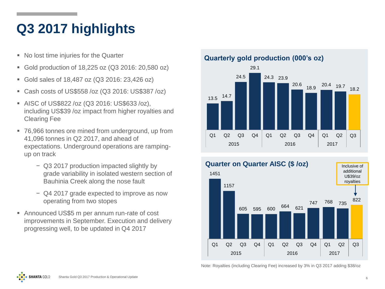### **Q3 2017 highlights**

- No lost time injuries for the Quarter
- Gold production of 18,225 oz (Q3 2016: 20,580 oz)
- Gold sales of 18,487 oz (Q3 2016: 23,426 oz)
- Cash costs of US\$558 /oz (Q3 2016: US\$387 /oz)
- AISC of US\$822 /oz (Q3 2016: US\$633 /oz), including US\$39 /oz impact from higher royalties and Clearing Fee
- 76,966 tonnes ore mined from underground, up from 41,096 tonnes in Q2 2017, and ahead of expectations. Underground operations are rampingup on track
	- − Q3 2017 production impacted slightly by grade variability in isolated western section of Bauhinia Creek along the nose fault
	- − Q4 2017 grade expected to improve as now operating from two stopes
- Announced US\$5 m per annum run-rate of cost improvements in September. Execution and delivery progressing well, to be updated in Q4 2017



Q1 Q2 Q3 Q4 Q1 Q2 Q3 Q4 Q1 Q2

2015 2016 2017

13.5 14.7



Note: Royalties (including Clearing Fee) increased by 3% in Q3 2017 adding \$38/oz

Q3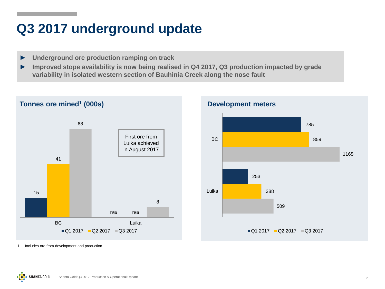### **Q3 2017 underground update**

- ► **Underground ore production ramping on track**
- ► **Improved stope availability is now being realised in Q4 2017, Q3 production impacted by grade variability in isolated western section of Bauhinia Creek along the nose fault**





1. Includes ore from development and production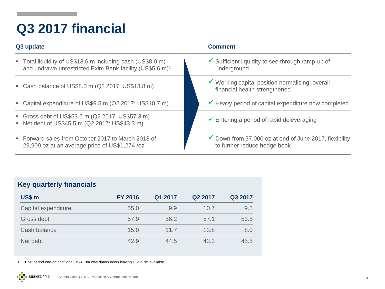## **Q3 2017 financial**

| Q3 update                                                                                                                          | <b>Comment</b>                                                                                    |  |  |  |  |
|------------------------------------------------------------------------------------------------------------------------------------|---------------------------------------------------------------------------------------------------|--|--|--|--|
| ■ Total liquidity of US\$13.6 m including cash (US\$8.0 m)<br>and undrawn unrestricted Exim Bank facility (US\$5.6 m) <sup>1</sup> | $\checkmark$ Sufficient liquidity to see through ramp-up of<br>underground                        |  |  |  |  |
| Cash balance of US\$8.0 m (Q2 2017: US\$13.8 m)                                                                                    | ✔ Working capital position normalising; overall<br>financial health strengthened                  |  |  |  |  |
| • Capital expenditure of US\$9.5 m (Q2 2017: US\$10.7 m)                                                                           | Heavy period of capital expenditure now completed                                                 |  |  |  |  |
| Gross debt of US\$53.5 m (Q2 2017: US\$57.3 m)<br>Net debt of US\$45.5 m (Q2 2017: US\$43.3 m)                                     | $\checkmark$ Entering a period of rapid deleveraging                                              |  |  |  |  |
| ■ Forward sales from October 2017 to March 2018 of<br>29,909 oz at an average price of US\$1,274 /oz                               | $\checkmark$ Down from 37,000 oz at end of June 2017, flexibility<br>to further reduce hedge book |  |  |  |  |

### **Key quarterly financials**

**...** 

| <b>US\$ m</b>       | <b>FY 2016</b> | Q1 2017 | Q <sub>2</sub> 2017 | Q3 2017 |
|---------------------|----------------|---------|---------------------|---------|
| Capital expenditure | 55.0           | 9.9     | 10.7                | 9.5     |
| Gross debt          | 57.9           | 56.2    | 57.1                | 53.5    |
| Cash balance        | 15.0           | 11.7    | 13.8                | 8.0     |
| Net debt            | 42.9           | 44.5    | 43.3                | 45.5    |

1. Post period end an additional US\$1.9m was drawn down leaving US\$3.7m available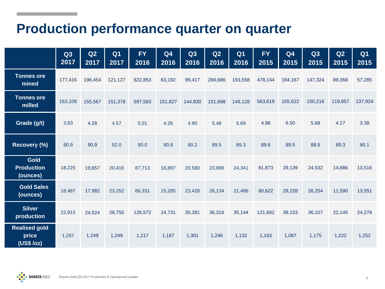### **Production performance quarter on quarter**

|                                              | Q3<br>2017 | Q2<br>2017 | Q <sub>1</sub><br>2017 | <b>FY</b><br>2016 | Q <sub>4</sub><br>2016 | Q3<br>2016 | Q2<br>2016 | Q <sub>1</sub><br>2016 | <b>FY</b><br>2015 | Q <sub>4</sub><br>2015 | Q3<br>2015 | Q2<br>2015 | Q <sub>1</sub><br>2015 |
|----------------------------------------------|------------|------------|------------------------|-------------------|------------------------|------------|------------|------------------------|-------------------|------------------------|------------|------------|------------------------|
| <b>Tonnes ore</b><br>mined                   | 177,416    | 196,454    | 121,127                | 622,853           | 63,192                 | 99,417     | 266,686    | 193,558                | 478,144           | 184,167                | 147,324    | 89,368     | 57,285                 |
| <b>Tonnes ore</b><br>milled                  | 163,109    | 155,567    | 151,378                | 597,583           | 151,827                | 144,930    | 151,698    | 149,128                | 563,619           | 155,622                | 150,216    | 119,857    | 137,924                |
| Grade (g/t)                                  | 3.83       | 4.28       | 4.57                   | 5.01              | 4.26                   | 4.90       | 5.48       | 5.69                   | 4.96              | 6.50                   | 5.68       | 4.27       | 3.38                   |
| Recovery (%)                                 | 90.9       | 90.9       | 92.0                   | 90.0              | 90.8                   | 90.2       | 89.5       | 89.3                   | 89.6              | 89.5                   | 89.5       | 89.3       | 90.1                   |
| <b>Gold</b><br><b>Production</b><br>(ounces) | 18,225     | 19,657     | 20,416                 | 87,713            | 18,897                 | 20,580     | 23,896     | 24,341                 | 81,873            | 29,139                 | 24,532     | 14,686     | 13,516                 |
| <b>Gold Sales</b><br>(ounces)                | 18,487     | 17,982     | 23,252                 | 86,331            | 15,285                 | 23,426     | 26,134     | 21,486                 | 80,622            | 29,228                 | 26,254     | 11,590     | 13,551                 |
| <b>Silver</b><br>production                  | 22,915     | 24,524     | 28,750                 | 126,572           | 24,731                 | 30,381     | 36,316     | 35,144                 | 121,682           | 39,153                 | 36,107     | 22,145     | 24,278                 |
| <b>Realised gold</b><br>price<br>(US\$ /oz)  | 1,267      | 1,249      | 1,249                  | 1,217             | 1,187                  | 1,301      | 1,246      | 1,132                  | 1,163             | 1,087                  | 1,175      | 1,222      | 1,252                  |

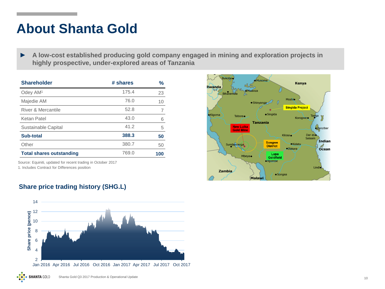### **About Shanta Gold**

► **A low-cost established producing gold company engaged in mining and exploration projects in highly prospective, under-explored areas of Tanzania**

| <b>Shareholder</b>              | # shares | %   |
|---------------------------------|----------|-----|
| Odey AM <sup>1</sup>            | 175.4    | 23  |
| Majedie AM                      | 76.0     | 10  |
| River & Mercantile              | 52.8     |     |
| Ketan Patel                     | 43.0     | 6   |
| Sustainable Capital             | 41.2     | 5   |
| Sub-total                       | 388.3    | 50  |
| Other                           | 380.7    | 50  |
| <b>Total shares outstanding</b> | 769.0    | 100 |

Source: Equiniti, updated for recent trading in October 2017 1. Includes Contract for Differences position



#### **Share price trading history (SHG.L)**